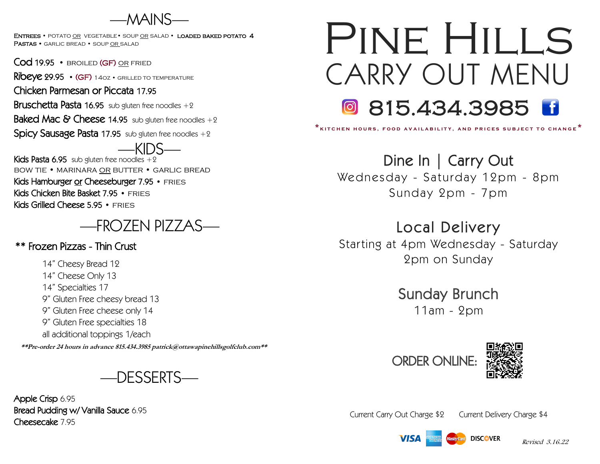—MAINS—

ENTREES • POTATO OR VEGETABLE • SOUP OR SALAD • LOADED BAKED POTATO 4 PASTAS • GARLIC BREAD • SOUP OR SALAD

Cod 19.95 • BROILED (GF) OR FRIED

Ribeye 29.95 • (GF) 14oz • grilled to temperature

Chicken Parmesan or Piccata 17.95

**Bruschetta Pasta 16.95** sub gluten free noodles  $+2$ 

**Baked Mac & Cheese 14.95** sub gluten free noodles  $+2$ 

**Spicy Sausage Pasta 17.95** sub gluten free noodles  $+2$ 

Kids Pasta 6.95 sub gluten free noodles  $+2$ bow tie • marinara or butter • garlic bread

Kids Hamburger or Cheeseburger 7.95 • FRIES Kids Chicken Bite Basket 7.95 • FRIES Kids Grilled Cheese 5.95 • FRIES

# —FROZEN PIZZAS—

# \*\* Frozen Pizzas - Thin Crust

14" Cheesy Bread 12 14" Cheese Only 13 14" Specialties 17 9" Gluten Free cheesy bread 13 9" Gluten Free cheese only 14 9" Gluten Free specialties 18 all additional toppings 1/each

**\*\*Pre-order 24 hours in advance 815.434.3985 patrick@ottawapinehillsgolfclub.com\*\***

—DESSERTS—

Apple Crisp 6.95 Bread Pudding w/ Vanilla Sauce 6.95 Cheesecake 7.95

# CARRY OUT MENU **815.434.3985 B** PINE HILLS

**\* k i t c h e n h o u r s , f o o d a v a i l a b i l i t y , a n d p r i c e s s u b j e c t t o c h a n g e \*** Ì,

Dine In | Carry Out

Wednesday - Saturday 12pm - 8pm Sunday 2pm - 7pm

# Local Delivery

Starting at 4pm Wednesday - Saturday 2pm on Sunday

> Sunday Brunch 11am - 2pm





Current Carry Out Charge \$2 Current Delivery Charge \$4